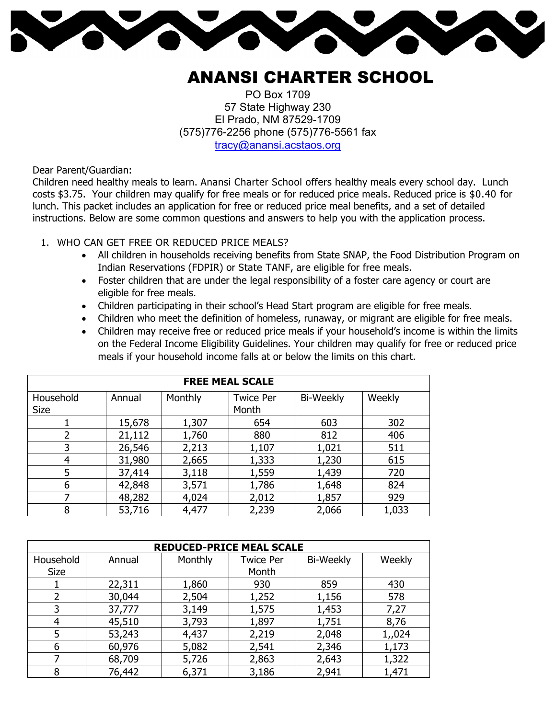

## ANANSI CHARTER SCHOOL

PO Box 1709 57 State Highway 230 El Prado, NM 87529-1709 (575)776-2256 phone (575)776-5561 fax tracy@anansi.acstaos.org

Dear Parent/Guardian:

Children need healthy meals to learn. Anansi Charter School offers healthy meals every school day. Lunch costs \$3.75. Your children may qualify for free meals or for reduced price meals. Reduced price is \$0.40 for lunch. This packet includes an application for free or reduced price meal benefits, and a set of detailed instructions. Below are some common questions and answers to help you with the application process.

- 1. WHO CAN GET FREE OR REDUCED PRICE MEALS?
	- All children in households receiving benefits from State SNAP, the Food Distribution Program on Indian Reservations (FDPIR) or State TANF, are eligible for free meals.
	- Foster children that are under the legal responsibility of a foster care agency or court are eligible for free meals.
	- Children participating in their school's Head Start program are eligible for free meals.
	- Children who meet the definition of homeless, runaway, or migrant are eligible for free meals.
	- Children may receive free or reduced price meals if your household's income is within the limits on the Federal Income Eligibility Guidelines. Your children may qualify for free or reduced price meals if your household income falls at or below the limits on this chart.

| <b>FREE MEAL SCALE</b> |        |         |                  |                  |        |  |  |  |
|------------------------|--------|---------|------------------|------------------|--------|--|--|--|
| Household              | Annual | Monthly | <b>Twice Per</b> | <b>Bi-Weekly</b> | Weekly |  |  |  |
| <b>Size</b>            |        |         | Month            |                  |        |  |  |  |
|                        | 15,678 | 1,307   | 654              | 603              | 302    |  |  |  |
| 2                      | 21,112 | 1,760   | 880              | 812              | 406    |  |  |  |
| 3                      | 26,546 | 2,213   | 1,107            | 1,021            | 511    |  |  |  |
| 4                      | 31,980 | 2,665   | 1,333            | 1,230            | 615    |  |  |  |
| 5                      | 37,414 | 3,118   | 1,559            | 1,439            | 720    |  |  |  |
| 6                      | 42,848 | 3,571   | 1,786            | 1,648            | 824    |  |  |  |
|                        | 48,282 | 4,024   | 2,012            | 1,857            | 929    |  |  |  |
| 8                      | 53,716 | 4,477   | 2,239            | 2,066            | 1,033  |  |  |  |

| <b>REDUCED-PRICE MEAL SCALE</b> |        |         |                  |                  |        |  |  |  |
|---------------------------------|--------|---------|------------------|------------------|--------|--|--|--|
| Household                       | Annual | Monthly | <b>Twice Per</b> | <b>Bi-Weekly</b> | Weekly |  |  |  |
| <b>Size</b>                     |        |         | Month            |                  |        |  |  |  |
|                                 | 22,311 | 1,860   | 930              | 859              | 430    |  |  |  |
| 2                               | 30,044 | 2,504   | 1,252            | 1,156            | 578    |  |  |  |
| 3                               | 37,777 | 3,149   | 1,575            | 1,453            | 7,27   |  |  |  |
| 4                               | 45,510 | 3,793   | 1,897            | 1,751            | 8,76   |  |  |  |
| 5                               | 53,243 | 4,437   | 2,219            | 2,048            | 1,,024 |  |  |  |
| 6                               | 60,976 | 5,082   | 2,541            | 2,346            | 1,173  |  |  |  |
|                                 | 68,709 | 5,726   | 2,863            | 2,643            | 1,322  |  |  |  |
| 8                               | 76,442 | 6,371   | 3,186            | 2,941            | 1,471  |  |  |  |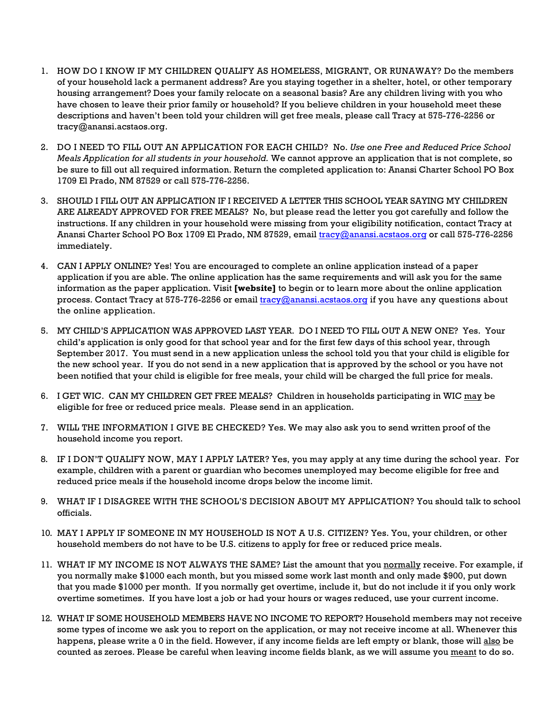- 1. HOW DO I KNOW IF MY CHILDREN QUALIFY AS HOMELESS, MIGRANT, OR RUNAWAY? Do the members of your household lack a permanent address? Are you staying together in a shelter, hotel, or other temporary housing arrangement? Does your family relocate on a seasonal basis? Are any children living with you who have chosen to leave their prior family or household? If you believe children in your household meet these descriptions and haven't been told your children will get free meals, please call Tracy at 575-776-2256 or tracy@anansi.acstaos.org.
- 2. DO I NEED TO FILL OUT AN APPLICATION FOR EACH CHILD? No. *Use one Free and Reduced Price School Meals Application for all students in your household.* We cannot approve an application that is not complete, so be sure to fill out all required information. Return the completed application to: Anansi Charter School PO Box 1709 El Prado, NM 87529 or call 575-776-2256.
- 3. SHOULD I FILL OUT AN APPLICATION IF I RECEIVED A LETTER THIS SCHOOL YEAR SAYING MY CHILDREN ARE ALREADY APPROVED FOR FREE MEALS? No, but please read the letter you got carefully and follow the instructions. If any children in your household were missing from your eligibility notification, contact Tracy at Anansi Charter School PO Box 1709 El Prado, NM 87529, email tracy@anansi.acstaos.org or call 575-776-2256 immediately.
- 4. CAN I APPLY ONLINE? Yes! You are encouraged to complete an online application instead of a paper application if you are able. The online application has the same requirements and will ask you for the same information as the paper application. Visit **[website]** to begin or to learn more about the online application process. Contact Tracy at 575-776-2256 or email tracy@anansi.acstaos.org if you have any questions about the online application.
- 5. MY CHILD'S APPLICATION WAS APPROVED LAST YEAR. DO I NEED TO FILL OUT A NEW ONE? Yes. Your child's application is only good for that school year and for the first few days of this school year, through September 2017. You must send in a new application unless the school told you that your child is eligible for the new school year. If you do not send in a new application that is approved by the school or you have not been notified that your child is eligible for free meals, your child will be charged the full price for meals.
- 6. I GET WIC. CAN MY CHILDREN GET FREE MEALS? Children in households participating in WIC may be eligible for free or reduced price meals. Please send in an application.
- 7. WILL THE INFORMATION I GIVE BE CHECKED? Yes. We may also ask you to send written proof of the household income you report.
- 8. IF I DON'T QUALIFY NOW, MAY I APPLY LATER? Yes, you may apply at any time during the school year. For example, children with a parent or guardian who becomes unemployed may become eligible for free and reduced price meals if the household income drops below the income limit.
- 9. WHAT IF I DISAGREE WITH THE SCHOOL'S DECISION ABOUT MY APPLICATION? You should talk to school officials.
- 10. MAY I APPLY IF SOMEONE IN MY HOUSEHOLD IS NOT A U.S. CITIZEN? Yes. You, your children, or other household members do not have to be U.S. citizens to apply for free or reduced price meals.
- 11. WHAT IF MY INCOME IS NOT ALWAYS THE SAME? List the amount that you normally receive. For example, if you normally make \$1000 each month, but you missed some work last month and only made \$900, put down that you made \$1000 per month. If you normally get overtime, include it, but do not include it if you only work overtime sometimes. If you have lost a job or had your hours or wages reduced, use your current income.
- 12. WHAT IF SOME HOUSEHOLD MEMBERS HAVE NO INCOME TO REPORT? Household members may not receive some types of income we ask you to report on the application, or may not receive income at all. Whenever this happens, please write a 0 in the field. However, if any income fields are left empty or blank, those will also be counted as zeroes. Please be careful when leaving income fields blank, as we will assume you meant to do so.